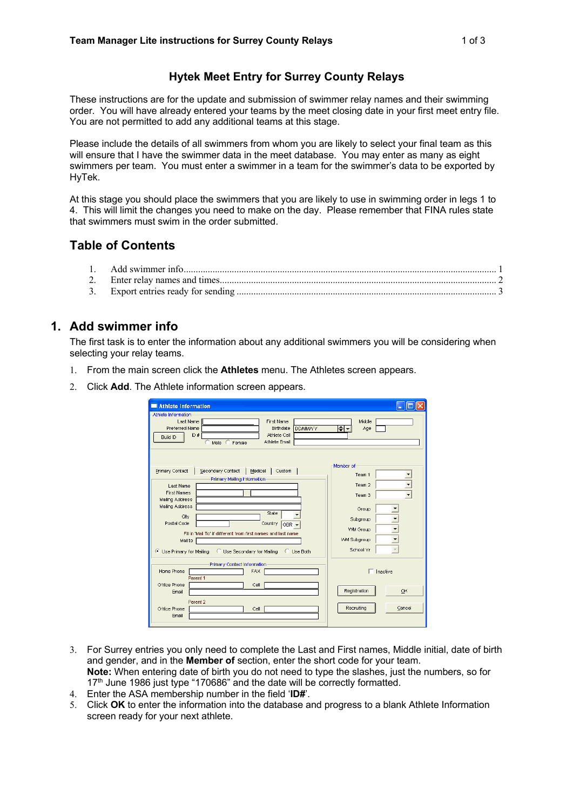### **Hytek Meet Entry for Surrey County Relays**

These instructions are for the update and submission of swimmer relay names and their swimming order. You will have already entered your teams by the meet closing date in your first meet entry file. You are not permitted to add any additional teams at this stage.

Please include the details of all swimmers from whom you are likely to select your final team as this will ensure that I have the swimmer data in the meet database. You may enter as many as eight swimmers per team. You must enter a swimmer in a team for the swimmer's data to be exported by HyTek.

At this stage you should place the swimmers that you are likely to use in swimming order in legs 1 to 4. This will limit the changes you need to make on the day. Please remember that FINA rules state that swimmers must swim in the order submitted.

# **Table of Contents**

### **1. Add swimmer info**

The first task is to enter the information about any additional swimmers you will be considering when selecting your relay teams.

- 1. From the main screen click the **Athletes** menu. The Athletes screen appears.
- 2. Click **Add**. The Athlete information screen appears.

| Athlete Information                                                                                                                                                                                                                                                                                                                                                            |                                                                                                                                |
|--------------------------------------------------------------------------------------------------------------------------------------------------------------------------------------------------------------------------------------------------------------------------------------------------------------------------------------------------------------------------------|--------------------------------------------------------------------------------------------------------------------------------|
| Athlete Information                                                                                                                                                                                                                                                                                                                                                            |                                                                                                                                |
| Last Name<br><b>First Name</b><br><b>Preferred Name</b><br><b>Birthdate</b><br><b>DDMMAYY</b><br>Athlete Cell<br>ID #<br><b>Build ID</b><br>Athlete Email<br>Male (<br>Female                                                                                                                                                                                                  | Middle<br>H∙<br>Age                                                                                                            |
| Primary Contact<br>Secondary Contact<br>Custom<br>Medical<br>Primary Mailing Information<br>Last Name<br><b>First Names</b><br>Mailing Address<br>Mailing Address<br>State<br>City<br>Postal Code<br>Country<br>GBR -<br>Fill in 'Mail To' if different from first names and last name<br>Mail to<br><b>Use Secondary for Mailing</b><br>Use Primary for Mailing<br>C Use Both | Member of<br>Team <sub>1</sub><br>Team 2<br>Team 3<br>Group<br>Subgroup<br><b>WM Group</b><br><b>VWI Subgroup</b><br>School Yr |
| Primary Contact Information<br>Home Phone<br><b>FAX</b><br>Parent 1                                                                                                                                                                                                                                                                                                            | $\Box$ Inactive                                                                                                                |
| Office Phone<br>Cell<br>Email                                                                                                                                                                                                                                                                                                                                                  | Registration<br>OK                                                                                                             |
| Parent 2<br>Office Phone<br>Cell<br>Ernail                                                                                                                                                                                                                                                                                                                                     | Recruiting<br>Cancel                                                                                                           |

- 3. For Surrey entries you only need to complete the Last and First names, Middle initial, date of birth and gender, and in the **Member of** section, enter the short code for your team. **Note:** When entering date of birth you do not need to type the slashes, just the numbers, so for 17<sup>th</sup> June 1986 just type "170686" and the date will be correctly formatted.
- 4. Enter the ASA membership number in the field '**ID#**'.
- 5. Click **OK** to enter the information into the database and progress to a blank Athlete Information screen ready for your next athlete.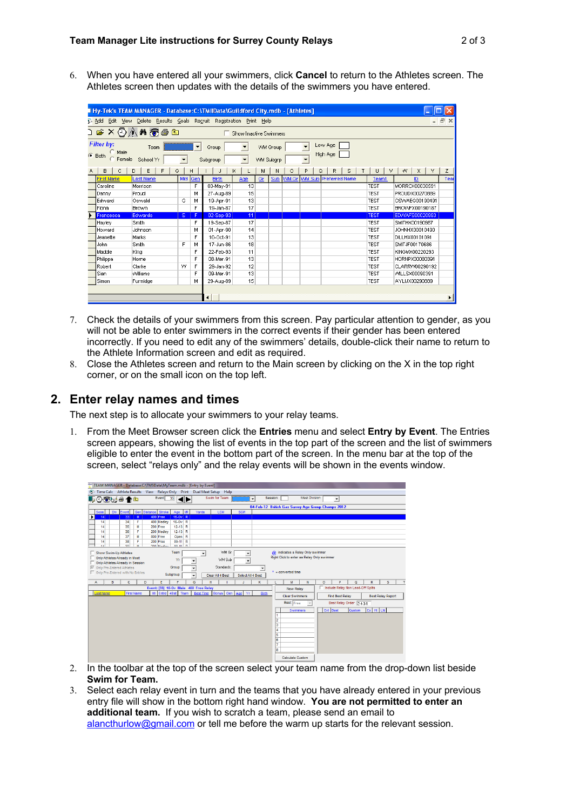6. When you have entered all your swimmers, click **Cancel** to return to the Athletes screen. The Athletes screen then updates with the details of the swimmers you have entered.

| Hy-Tek's TEAM MANAGER - Database: C:\TMIIData\Guildford City.mdb - [Athletes]                                                      |                  |     |     |              |     |    |     |         |        |                               |             |                       |      |
|------------------------------------------------------------------------------------------------------------------------------------|------------------|-----|-----|--------------|-----|----|-----|---------|--------|-------------------------------|-------------|-----------------------|------|
| Delete Results Goals Regruit Registration Print Help<br>F<br>Edit<br><b>D</b> Add<br>View                                          |                  |     |     |              |     |    |     |         |        |                               |             |                       |      |
| <b>DEXQAMTS</b><br>□ Show Inactive Swimmers                                                                                        |                  |     |     |              |     |    |     |         |        |                               |             |                       |      |
| Filter by:<br>Low Age<br>$\mathbf{v}$<br>$\overline{\phantom{a}}$<br>$\overline{\phantom{a}}$<br><b>VWI Group</b><br>Team<br>Group |                  |     |     |              |     |    |     |         |        |                               |             |                       |      |
| Male<br>High Age<br>$\subseteq$ Both<br>Female<br>School Yr<br><b>WM Subgrp</b><br>Subgroup<br>$\overline{\phantom{a}}$            |                  |     |     |              |     |    |     |         |        |                               |             |                       |      |
| B<br>C                                                                                                                             | E<br>G<br>D<br>F |     | H   |              | κ   | м  | N   | $\circ$ | P<br>Q | R<br>s                        | U<br>٧      | W.<br>$\times$<br>Y.  | z    |
| <b>First Name</b>                                                                                                                  | Last Name        | Mid | Gen | <b>Birth</b> | Age | Gr | Sub |         |        | VVM Gr VVM Sub Preferred Name | Team1       | ID                    | Teal |
| Caroline                                                                                                                           | Morrison         |     | F   | 03-May-91    | 13  |    |     |         |        |                               | TEST        | MORRCX00030591        |      |
| Danny                                                                                                                              | Proud            |     | м   | 27-Aug-89    | 15  |    |     |         |        |                               | <b>TEST</b> | <b>PROUDX00270889</b> |      |
| Edward                                                                                                                             | Oswald           | G   | м   | 19-Apr-91    | 13  |    |     |         |        |                               | <b>TEST</b> | OSWAEG00190491        |      |
| Fiona                                                                                                                              | Brown            |     | F   | 19-Jan-87    | 17  |    |     |         |        |                               | <b>TEST</b> | <b>BROWFX00190187</b> |      |
| Francesca                                                                                                                          | Edwards:         | s.  | F   | 02-Sep-93    | 11  |    |     |         |        |                               | TEST        | EDWAFS00020993        |      |
| Hayley                                                                                                                             | Smith            |     | F   | 19-Sep-87    | 17  |    |     |         |        |                               | <b>TEST</b> | SMITHX00190987        |      |
| Howard                                                                                                                             | Johnson          |     | м   | 01-Apr-90    | 14  |    |     |         |        |                               | <b>TEST</b> | JOHNHX00010490        |      |
| Jeanette                                                                                                                           | Marks            |     | F   | 10-Oct-91    | 13  |    |     |         |        |                               | <b>TEST</b> | DILLHX00101091        |      |
| John                                                                                                                               | Smith            | F   | м   | 17-Jun-86    | 18  |    |     |         |        |                               | <b>TEST</b> | SMITJF00170686        |      |
| Maddie                                                                                                                             | Kina             |     | F   | 22-Feb-93    | 11  |    |     |         |        |                               | <b>TEST</b> | KINGMX00220293        |      |
| Philippa                                                                                                                           | Horne            |     | F   | 08-Mar-91    | 13  |    |     |         |        |                               | <b>TEST</b> | HORNPX00080391        |      |
| Robert                                                                                                                             | Clarke           | w   | F   | 29-Jan-92    | 12  |    |     |         |        |                               | <b>TEST</b> | CLARRW00290192        |      |
| l Sian                                                                                                                             | <b>Williams</b>  |     | F   | 09-Mar-91    | 13  |    |     |         |        |                               | <b>TEST</b> | VVILLSX00090391       |      |
| Simon                                                                                                                              | Furmidge         |     | м   | 29-Aug-89    | 15  |    |     |         |        |                               | <b>TEST</b> | AYLIJX00290889        |      |
| $\blacktriangleleft$                                                                                                               |                  |     |     |              |     |    |     |         |        |                               |             |                       |      |

- 7. Check the details of your swimmers from this screen. Pay particular attention to gender, as you will not be able to enter swimmers in the correct events if their gender has been entered incorrectly. If you need to edit any of the swimmers' details, double-click their name to return to the Athlete Information screen and edit as required.
- 8. Close the Athletes screen and return to the Main screen by clicking on the X in the top right corner, or on the small icon on the top left.

#### **2. Enter relay names and times**

The next step is to allocate your swimmers to your relay teams.

1. From the Meet Browser screen click the **Entries** menu and select **Entry by Event**. The Entries screen appears, showing the list of events in the top part of the screen and the list of swimmers eligible to enter the event in the bottom part of the screen. In the menu bar at the top of the screen, select "relays only" and the relay events will be shown in the events window.

| Et Time Calc Athlete Results View Relays Only Print Dual Meet Setup Help<br>Event 33<br>Swim for Team:<br><b>Meet Division</b><br>Session:<br>■○ではの↑□<br>$\overline{\phantom{a}}$<br>$\overline{\phantom{a}}$<br>04-Feb-12 British Gas Surrey Age Group Champs 2012<br>Gen Distance Stroke<br><b>LCM</b><br><b>Sess</b><br>Div<br>Age   VR<br>Yards<br><b>SCM</b><br>Event<br>$16-Ov$ R<br>33 <sup>1</sup><br>400 Free<br>M<br>14<br>$16-Ov$ R<br>400 Medley<br>14<br>34<br>F<br>200 Free<br>$12-13$ R<br>35<br>М<br>14<br>F<br>$12-13$ R<br>14<br>36<br>200 Medlev<br>37<br>14<br>м<br>800 Free<br>Open R<br>38<br>200 Free<br>$09-11$ R<br>14<br>F<br>$00.44$ $n$<br>20 <sub>1</sub><br>$\mathbf{u}$<br>200 Madley<br> |                          |  |  |  |  |  |
|--------------------------------------------------------------------------------------------------------------------------------------------------------------------------------------------------------------------------------------------------------------------------------------------------------------------------------------------------------------------------------------------------------------------------------------------------------------------------------------------------------------------------------------------------------------------------------------------------------------------------------------------------------------------------------------------------------------------------|--------------------------|--|--|--|--|--|
|                                                                                                                                                                                                                                                                                                                                                                                                                                                                                                                                                                                                                                                                                                                          |                          |  |  |  |  |  |
|                                                                                                                                                                                                                                                                                                                                                                                                                                                                                                                                                                                                                                                                                                                          |                          |  |  |  |  |  |
|                                                                                                                                                                                                                                                                                                                                                                                                                                                                                                                                                                                                                                                                                                                          |                          |  |  |  |  |  |
|                                                                                                                                                                                                                                                                                                                                                                                                                                                                                                                                                                                                                                                                                                                          |                          |  |  |  |  |  |
|                                                                                                                                                                                                                                                                                                                                                                                                                                                                                                                                                                                                                                                                                                                          |                          |  |  |  |  |  |
|                                                                                                                                                                                                                                                                                                                                                                                                                                                                                                                                                                                                                                                                                                                          |                          |  |  |  |  |  |
|                                                                                                                                                                                                                                                                                                                                                                                                                                                                                                                                                                                                                                                                                                                          |                          |  |  |  |  |  |
|                                                                                                                                                                                                                                                                                                                                                                                                                                                                                                                                                                                                                                                                                                                          |                          |  |  |  |  |  |
|                                                                                                                                                                                                                                                                                                                                                                                                                                                                                                                                                                                                                                                                                                                          |                          |  |  |  |  |  |
|                                                                                                                                                                                                                                                                                                                                                                                                                                                                                                                                                                                                                                                                                                                          |                          |  |  |  |  |  |
| WM Gr<br>@ indicates a Relay Only swimmer<br>Team<br>Show Swim-Up Athletes<br>Right Click to enter as Relay Only swimmer<br>Only Athletes Already in Meet<br>WM Sub<br>Yr<br>$\blacksquare$<br>Only Athletes Already in Session<br>Standards:<br>Ⅳ Only Pre-Entered Athletes<br>Group<br>$\check{}$<br>٠                                                                                                                                                                                                                                                                                                                                                                                                                 |                          |  |  |  |  |  |
| $" = converted time$<br>Only Pre-Entered with No Entries<br>Subgroup<br>Clear All 4 Best<br>Select All 4 Best<br>٠                                                                                                                                                                                                                                                                                                                                                                                                                                                                                                                                                                                                       |                          |  |  |  |  |  |
| D<br>$\alpha$<br>в<br>c<br>Ε<br>G<br>M<br>N<br>$\circ$<br>p<br>F<br>H<br>κ<br>A                                                                                                                                                                                                                                                                                                                                                                                                                                                                                                                                                                                                                                          | R<br>s                   |  |  |  |  |  |
| Include Relay Non Lead-Off Splts<br>Event: [33] 16-Ov Male 400 Free Relay<br><b>New Relay</b>                                                                                                                                                                                                                                                                                                                                                                                                                                                                                                                                                                                                                            |                          |  |  |  |  |  |
| MI Entrd 4Bst Team<br>Best Time Bonus Gen Age Yr<br><b>First Name</b><br>Birth<br><b>Last Name</b><br><b>Find Best Relay</b><br><b>Clear Swimmers</b>                                                                                                                                                                                                                                                                                                                                                                                                                                                                                                                                                                    | <b>Best Relay Report</b> |  |  |  |  |  |
| Best: Free<br>Best Relay Order 2-4-3-1                                                                                                                                                                                                                                                                                                                                                                                                                                                                                                                                                                                                                                                                                   |                          |  |  |  |  |  |
| Ent Best<br><b>Custom</b><br>Swimmers<br>1<br>2<br>3<br>14<br>ls.<br>$\overline{6}$<br>7<br>l8                                                                                                                                                                                                                                                                                                                                                                                                                                                                                                                                                                                                                           | Ex Ht LN                 |  |  |  |  |  |

- 2. In the toolbar at the top of the screen select your team name from the drop-down list beside **Swim for Team.**
- 3. Select each relay event in turn and the teams that you have already entered in your previous entry file will show in the bottom right hand window. **You are not permitted to enter an additional team.** If you wish to scratch a team, please send an email to alancthurlow@gmail.com or tell me before the warm up starts for the relevant session.